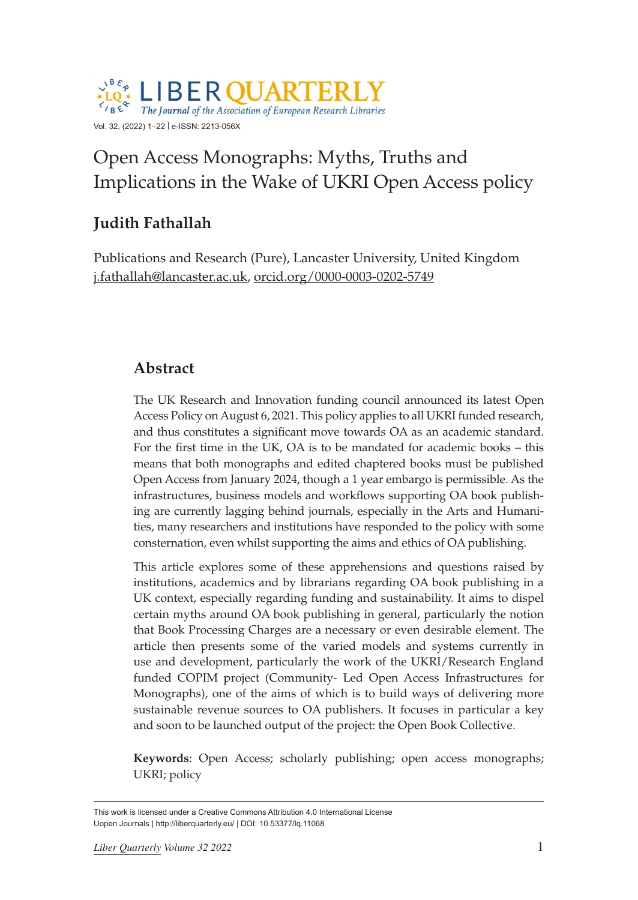

# Open Access Monographs: Myths, Truths and Implications in the Wake of UKRI Open Access policy

# **Judith Fathallah**

Publications and Research (Pure), Lancaster University, United Kingdom [j.fathallah@lancaster.ac.uk,](mailto:j.fathallah@lancaster.ac.uk) [orcid.org/0000-0003-0202-5749](https://orcid.org/0000-0003-0202-5749)

#### **Abstract**

The UK Research and Innovation funding council announced its latest Open Access Policy on August 6, 2021. This policy applies to all UKRI funded research, and thus constitutes a significant move towards OA as an academic standard. For the first time in the UK, OA is to be mandated for academic books – this means that both monographs and edited chaptered books must be published Open Access from January 2024, though a 1 year embargo is permissible. As the infrastructures, business models and workflows supporting OA book publishing are currently lagging behind journals, especially in the Arts and Humanities, many researchers and institutions have responded to the policy with some consternation, even whilst supporting the aims and ethics of OA publishing.

This article explores some of these apprehensions and questions raised by institutions, academics and by librarians regarding OA book publishing in a UK context, especially regarding funding and sustainability. It aims to dispel certain myths around OA book publishing in general, particularly the notion that Book Processing Charges are a necessary or even desirable element. The article then presents some of the varied models and systems currently in use and development, particularly the work of the UKRI/Research England funded COPIM project (Community- Led Open Access Infrastructures for Monographs), one of the aims of which is to build ways of delivering more sustainable revenue sources to OA publishers. It focuses in particular a key and soon to be launched output of the project: the Open Book Collective.

**Keywords**: Open Access; scholarly publishing; open access monographs; UKRI; policy

This work is licensed under a Creative Commons Attribution 4.0 International License Uopen Journals | <http://liberquarterly.eu/> | DOI: 10.53377/lq.11068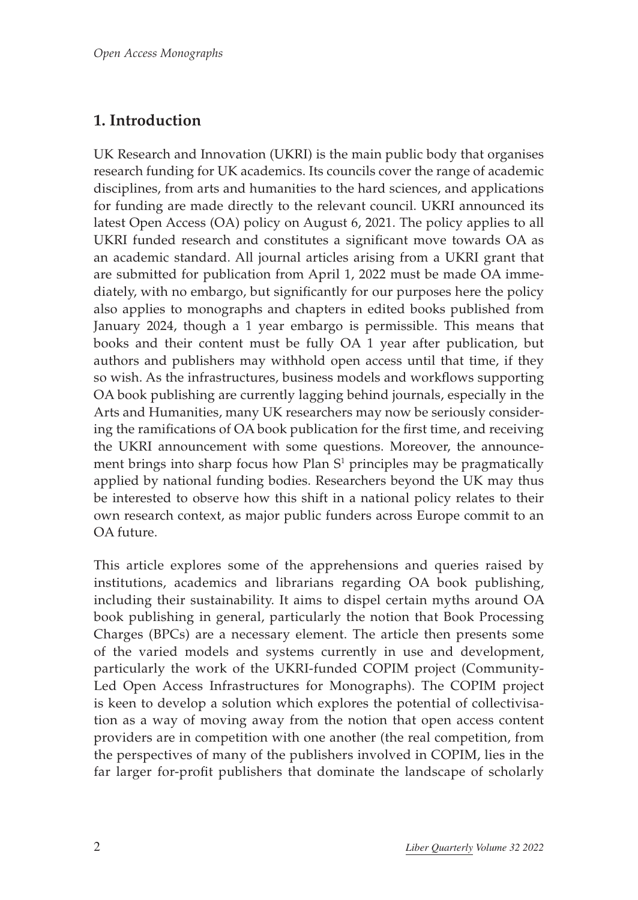### **1. Introduction**

UK Research and Innovation (UKRI) is the main public body that organises research funding for UK academics. Its councils cover the range of academic disciplines, from arts and humanities to the hard sciences, and applications for funding are made directly to the relevant council. UKRI announced its latest Open Access (OA) policy on August 6, 2021. The policy applies to all UKRI funded research and constitutes a significant move towards OA as an academic standard. All journal articles arising from a UKRI grant that are submitted for publication from April 1, 2022 must be made OA immediately, with no embargo, but significantly for our purposes here the policy also applies to monographs and chapters in edited books published from January 2024, though a 1 year embargo is permissible. This means that books and their content must be fully OA 1 year after publication, but authors and publishers may withhold open access until that time, if they so wish. As the infrastructures, business models and workflows supporting OA book publishing are currently lagging behind journals, especially in the Arts and Humanities, many UK researchers may now be seriously considering the ramifications of OA book publication for the first time, and receiving the UKRI announcement with some questions. Moreover, the announcement brings into sharp focus how Plan  $S<sup>1</sup>$  principles may be pragmatically applied by national funding bodies. Researchers beyond the UK may thus be interested to observe how this shift in a national policy relates to their own research context, as major public funders across Europe commit to an OA future.

This article explores some of the apprehensions and queries raised by institutions, academics and librarians regarding OA book publishing, including their sustainability. It aims to dispel certain myths around OA book publishing in general, particularly the notion that Book Processing Charges (BPCs) are a necessary element. The article then presents some of the varied models and systems currently in use and development, particularly the work of the UKRI-funded COPIM project (Community-Led Open Access Infrastructures for Monographs). The COPIM project is keen to develop a solution which explores the potential of collectivisation as a way of moving away from the notion that open access content providers are in competition with one another (the real competition, from the perspectives of many of the publishers involved in COPIM, lies in the far larger for-profit publishers that dominate the landscape of scholarly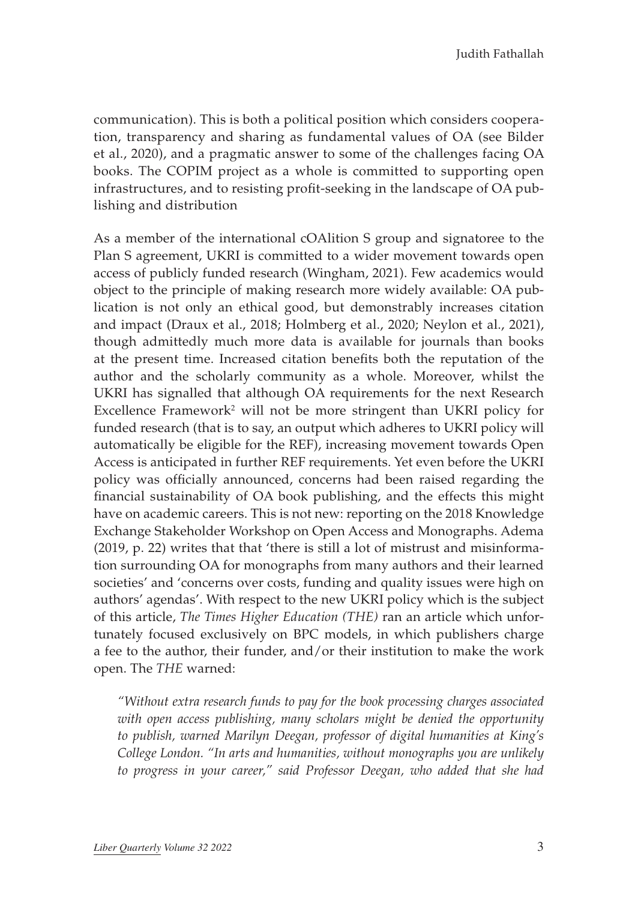communication). This is both a political position which considers cooperation, transparency and sharing as fundamental values of OA (see Bilder et al., 2020), and a pragmatic answer to some of the challenges facing OA books. The COPIM project as a whole is committed to supporting open infrastructures, and to resisting profit-seeking in the landscape of OA publishing and distribution

As a member of the international cOAlition S group and signatoree to the Plan S agreement, UKRI is committed to a wider movement towards open access of publicly funded research (Wingham, 2021). Few academics would object to the principle of making research more widely available: OA publication is not only an ethical good, but demonstrably increases citation and impact (Draux et al., 2018; Holmberg et al., 2020; Neylon et al., 2021), though admittedly much more data is available for journals than books at the present time. Increased citation benefits both the reputation of the author and the scholarly community as a whole. Moreover, whilst the UKRI has signalled that although OA requirements for the next Research Excellence Framework<sup>2</sup> will not be more stringent than UKRI policy for funded research (that is to say, an output which adheres to UKRI policy will automatically be eligible for the REF), increasing movement towards Open Access is anticipated in further REF requirements. Yet even before the UKRI policy was officially announced, concerns had been raised regarding the financial sustainability of OA book publishing, and the effects this might have on academic careers. This is not new: reporting on the 2018 Knowledge Exchange Stakeholder Workshop on Open Access and Monographs. Adema (2019, p. 22) writes that that 'there is still a lot of mistrust and misinformation surrounding OA for monographs from many authors and their learned societies' and 'concerns over costs, funding and quality issues were high on authors' agendas'. With respect to the new UKRI policy which is the subject of this article, *The Times Higher Education (THE)* ran an article which unfortunately focused exclusively on BPC models, in which publishers charge a fee to the author, their funder, and/or their institution to make the work open. The *THE* warned:

*"Without extra research funds to pay for the book processing charges associated with open access publishing, many scholars might be denied the opportunity to publish, warned Marilyn Deegan, professor of digital humanities at King's College London. "In arts and humanities, without monographs you are unlikely to progress in your career," said Professor Deegan, who added that she had*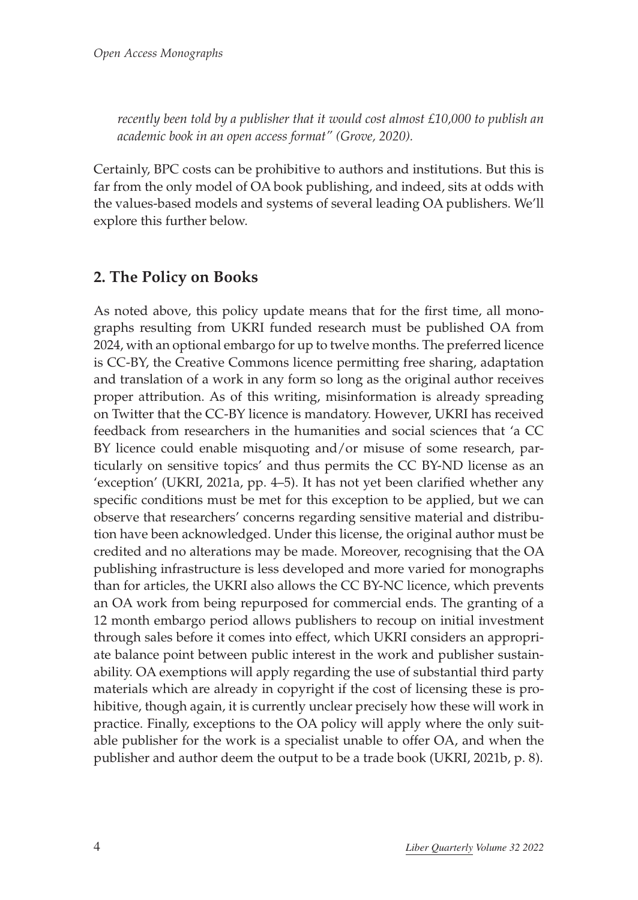*recently been told by a publisher that it would cost almost £10,000 to publish an academic book in an open access format" (Grove, 2020).*

Certainly, BPC costs can be prohibitive to authors and institutions. But this is far from the only model of OA book publishing, and indeed, sits at odds with the values-based models and systems of several leading OA publishers. We'll explore this further below.

#### **2. The Policy on Books**

As noted above, this policy update means that for the first time, all monographs resulting from UKRI funded research must be published OA from 2024, with an optional embargo for up to twelve months. The preferred licence is CC-BY, the Creative Commons licence permitting free sharing, adaptation and translation of a work in any form so long as the original author receives proper attribution. As of this writing, misinformation is already spreading on Twitter that the CC-BY licence is mandatory. However, UKRI has received feedback from researchers in the humanities and social sciences that 'a CC BY licence could enable misquoting and/or misuse of some research, particularly on sensitive topics' and thus permits the CC BY-ND license as an 'exception' (UKRI, 2021a, pp. 4–5). It has not yet been clarified whether any specific conditions must be met for this exception to be applied, but we can observe that researchers' concerns regarding sensitive material and distribution have been acknowledged. Under this license, the original author must be credited and no alterations may be made. Moreover, recognising that the OA publishing infrastructure is less developed and more varied for monographs than for articles, the UKRI also allows the CC BY-NC licence, which prevents an OA work from being repurposed for commercial ends. The granting of a 12 month embargo period allows publishers to recoup on initial investment through sales before it comes into effect, which UKRI considers an appropriate balance point between public interest in the work and publisher sustainability. OA exemptions will apply regarding the use of substantial third party materials which are already in copyright if the cost of licensing these is prohibitive, though again, it is currently unclear precisely how these will work in practice. Finally, exceptions to the OA policy will apply where the only suitable publisher for the work is a specialist unable to offer OA, and when the publisher and author deem the output to be a trade book (UKRI, 2021b, p. 8).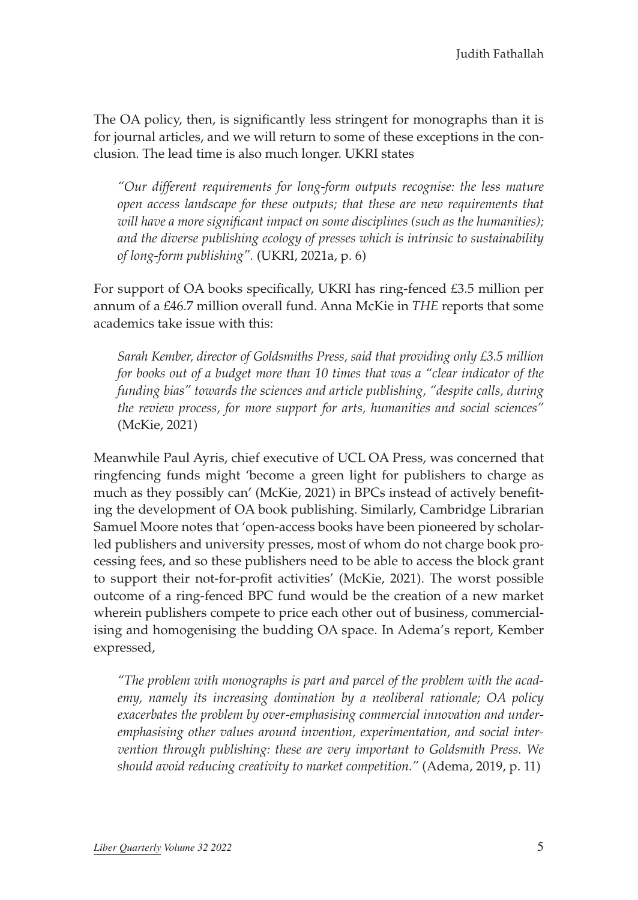The OA policy, then, is significantly less stringent for monographs than it is for journal articles, and we will return to some of these exceptions in the conclusion. The lead time is also much longer. UKRI states

*"Our different requirements for long-form outputs recognise: the less mature open access landscape for these outputs; that these are new requirements that will have a more significant impact on some disciplines (such as the humanities); and the diverse publishing ecology of presses which is intrinsic to sustainability of long-form publishing".* (UKRI, 2021a, p. 6)

For support of OA books specifically, UKRI has ring-fenced £3.5 million per annum of a £46.7 million overall fund. Anna McKie in *THE* reports that some academics take issue with this:

*Sarah Kember, director of Goldsmiths Press, said that providing only £3.5 million for books out of a budget more than 10 times that was a "clear indicator of the funding bias" towards the sciences and article publishing, "despite calls, during the review process, for more support for arts, humanities and social sciences"* (McKie, 2021)

Meanwhile Paul Ayris, chief executive of UCL OA Press, was concerned that ringfencing funds might 'become a green light for publishers to charge as much as they possibly can' (McKie, 2021) in BPCs instead of actively benefiting the development of OA book publishing. Similarly, Cambridge Librarian Samuel Moore notes that 'open-access books have been pioneered by scholarled publishers and university presses, most of whom do not charge book processing fees, and so these publishers need to be able to access the block grant to support their not-for-profit activities' (McKie, 2021). The worst possible outcome of a ring-fenced BPC fund would be the creation of a new market wherein publishers compete to price each other out of business, commercialising and homogenising the budding OA space. In Adema's report, Kember expressed,

*"The problem with monographs is part and parcel of the problem with the academy, namely its increasing domination by a neoliberal rationale; OA policy exacerbates the problem by over-emphasising commercial innovation and underemphasising other values around invention, experimentation, and social intervention through publishing: these are very important to Goldsmith Press. We should avoid reducing creativity to market competition."* (Adema, 2019, p. 11)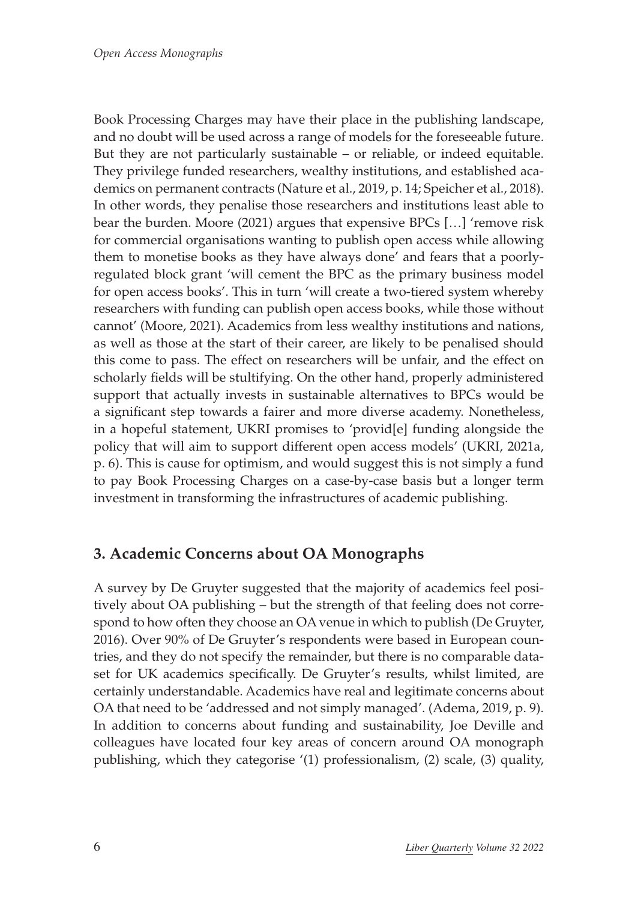Book Processing Charges may have their place in the publishing landscape, and no doubt will be used across a range of models for the foreseeable future. But they are not particularly sustainable – or reliable, or indeed equitable. They privilege funded researchers, wealthy institutions, and established academics on permanent contracts (Nature et al., 2019, p. 14; Speicher et al., 2018). In other words, they penalise those researchers and institutions least able to bear the burden. Moore (2021) argues that expensive BPCs […] 'remove risk for commercial organisations wanting to publish open access while allowing them to monetise books as they have always done' and fears that a poorlyregulated block grant 'will cement the BPC as the primary business model for open access books'. This in turn 'will create a two-tiered system whereby researchers with funding can publish open access books, while those without cannot' (Moore, 2021). Academics from less wealthy institutions and nations, as well as those at the start of their career, are likely to be penalised should this come to pass. The effect on researchers will be unfair, and the effect on scholarly fields will be stultifying. On the other hand, properly administered support that actually invests in sustainable alternatives to BPCs would be a significant step towards a fairer and more diverse academy. Nonetheless, in a hopeful statement, UKRI promises to 'provid[e] funding alongside the policy that will aim to support different open access models' (UKRI, 2021a, p. 6). This is cause for optimism, and would suggest this is not simply a fund to pay Book Processing Charges on a case-by-case basis but a longer term investment in transforming the infrastructures of academic publishing.

#### **3. Academic Concerns about OA Monographs**

A survey by De Gruyter suggested that the majority of academics feel positively about OA publishing – but the strength of that feeling does not correspond to how often they choose an OA venue in which to publish (De Gruyter, 2016). Over 90% of De Gruyter's respondents were based in European countries, and they do not specify the remainder, but there is no comparable dataset for UK academics specifically. De Gruyter's results, whilst limited, are certainly understandable. Academics have real and legitimate concerns about OA that need to be 'addressed and not simply managed'. (Adema, 2019, p. 9). In addition to concerns about funding and sustainability, Joe Deville and colleagues have located four key areas of concern around OA monograph publishing, which they categorise '(1) professionalism, (2) scale, (3) quality,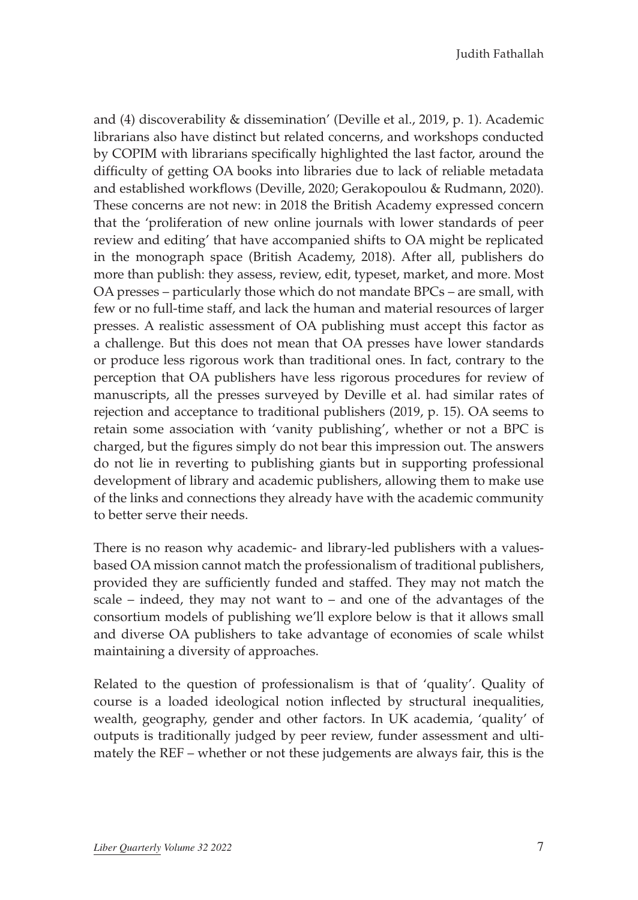Judith Fathallah

and (4) discoverability & dissemination' (Deville et al., 2019, p. 1). Academic librarians also have distinct but related concerns, and workshops conducted by COPIM with librarians specifically highlighted the last factor, around the difficulty of getting OA books into libraries due to lack of reliable metadata and established workflows (Deville, 2020; Gerakopoulou & Rudmann, 2020). These concerns are not new: in 2018 the British Academy expressed concern that the 'proliferation of new online journals with lower standards of peer review and editing' that have accompanied shifts to OA might be replicated in the monograph space (British Academy, 2018). After all, publishers do more than publish: they assess, review, edit, typeset, market, and more. Most OA presses – particularly those which do not mandate BPCs – are small, with few or no full-time staff, and lack the human and material resources of larger presses. A realistic assessment of OA publishing must accept this factor as a challenge. But this does not mean that OA presses have lower standards or produce less rigorous work than traditional ones. In fact, contrary to the perception that OA publishers have less rigorous procedures for review of manuscripts, all the presses surveyed by Deville et al. had similar rates of rejection and acceptance to traditional publishers (2019, p. 15). OA seems to retain some association with 'vanity publishing', whether or not a BPC is charged, but the figures simply do not bear this impression out. The answers do not lie in reverting to publishing giants but in supporting professional development of library and academic publishers, allowing them to make use of the links and connections they already have with the academic community to better serve their needs.

There is no reason why academic- and library-led publishers with a valuesbased OA mission cannot match the professionalism of traditional publishers, provided they are sufficiently funded and staffed. They may not match the scale – indeed, they may not want to – and one of the advantages of the consortium models of publishing we'll explore below is that it allows small and diverse OA publishers to take advantage of economies of scale whilst maintaining a diversity of approaches.

Related to the question of professionalism is that of 'quality'. Quality of course is a loaded ideological notion inflected by structural inequalities, wealth, geography, gender and other factors. In UK academia, 'quality' of outputs is traditionally judged by peer review, funder assessment and ultimately the REF – whether or not these judgements are always fair, this is the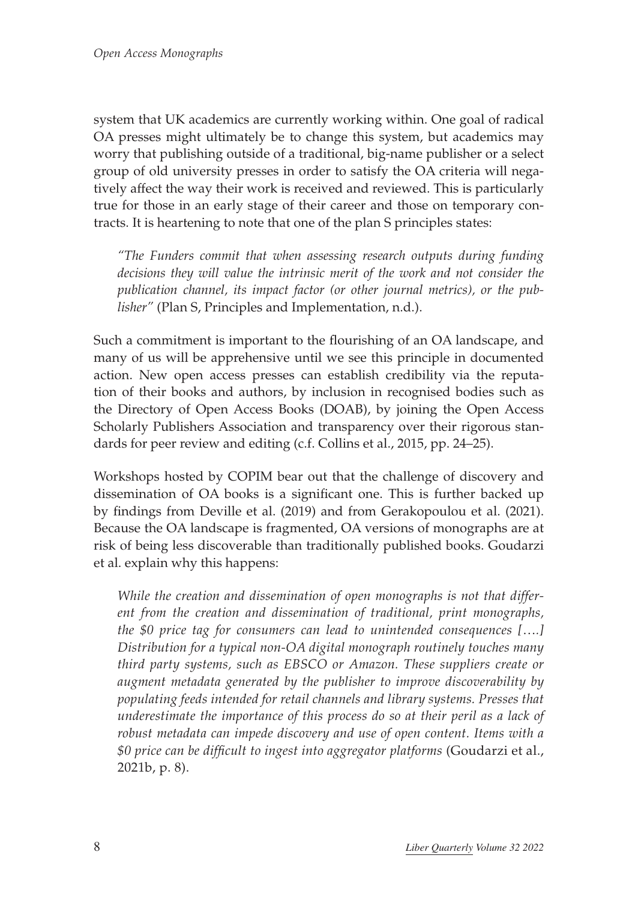system that UK academics are currently working within. One goal of radical OA presses might ultimately be to change this system, but academics may worry that publishing outside of a traditional, big-name publisher or a select group of old university presses in order to satisfy the OA criteria will negatively affect the way their work is received and reviewed. This is particularly true for those in an early stage of their career and those on temporary contracts. It is heartening to note that one of the plan S principles states:

*"The Funders commit that when assessing research outputs during funding decisions they will value the intrinsic merit of the work and not consider the publication channel, its impact factor (or other journal metrics), or the publisher"* (Plan S, Principles and Implementation, n.d.).

Such a commitment is important to the flourishing of an OA landscape, and many of us will be apprehensive until we see this principle in documented action. New open access presses can establish credibility via the reputation of their books and authors, by inclusion in recognised bodies such as the Directory of Open Access Books (DOAB), by joining the Open Access Scholarly Publishers Association and transparency over their rigorous standards for peer review and editing (c.f. Collins et al., 2015, pp. 24–25).

Workshops hosted by COPIM bear out that the challenge of discovery and dissemination of OA books is a significant one. This is further backed up by findings from Deville et al. (2019) and from Gerakopoulou et al. (2021). Because the OA landscape is fragmented, OA versions of monographs are at risk of being less discoverable than traditionally published books. Goudarzi et al. explain why this happens:

*While the creation and dissemination of open monographs is not that different from the creation and dissemination of traditional, print monographs, the \$0 price tag for consumers can lead to unintended consequences [*…*.] Distribution for a typical non-OA digital monograph routinely touches many third party systems, such as EBSCO or Amazon. These suppliers create or augment metadata generated by the publisher to improve discoverability by populating feeds intended for retail channels and library systems. Presses that underestimate the importance of this process do so at their peril as a lack of robust metadata can impede discovery and use of open content. Items with a \$0 price can be difficult to ingest into aggregator platforms* (Goudarzi et al., 2021b, p. 8).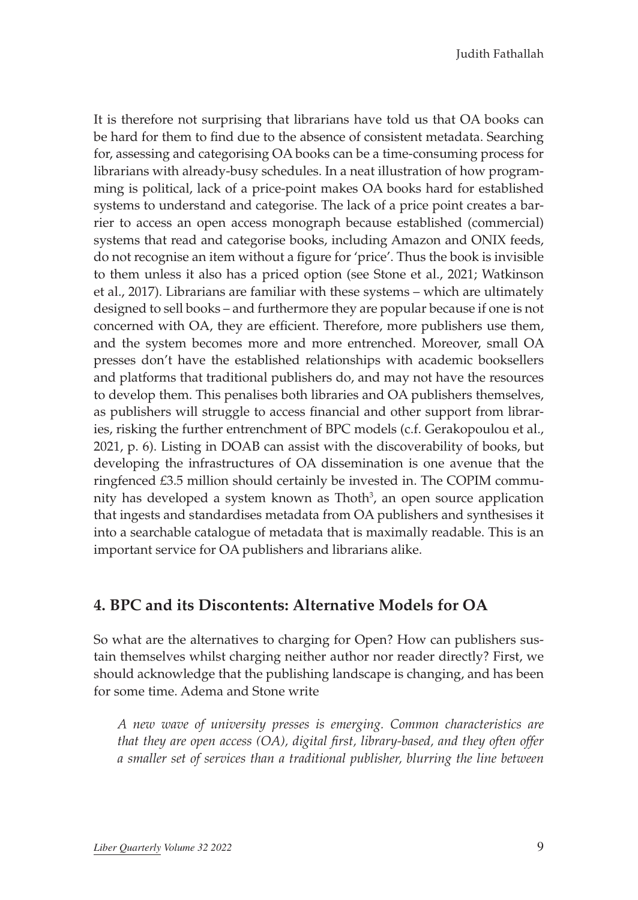Judith Fathallah

It is therefore not surprising that librarians have told us that OA books can be hard for them to find due to the absence of consistent metadata. Searching for, assessing and categorising OA books can be a time-consuming process for librarians with already-busy schedules. In a neat illustration of how programming is political, lack of a price-point makes OA books hard for established systems to understand and categorise. The lack of a price point creates a barrier to access an open access monograph because established (commercial) systems that read and categorise books, including Amazon and ONIX feeds, do not recognise an item without a figure for 'price'. Thus the book is invisible to them unless it also has a priced option (see Stone et al., 2021; Watkinson et al., 2017). Librarians are familiar with these systems – which are ultimately designed to sell books – and furthermore they are popular because if one is not concerned with OA, they are efficient. Therefore, more publishers use them, and the system becomes more and more entrenched. Moreover, small OA presses don't have the established relationships with academic booksellers and platforms that traditional publishers do, and may not have the resources to develop them. This penalises both libraries and OA publishers themselves, as publishers will struggle to access financial and other support from libraries, risking the further entrenchment of BPC models (c.f. Gerakopoulou et al., 2021, p. 6). Listing in DOAB can assist with the discoverability of books, but developing the infrastructures of OA dissemination is one avenue that the ringfenced £3.5 million should certainly be invested in. The COPIM community has developed a system known as Thoth<sup>3</sup>, an open source application that ingests and standardises metadata from OA publishers and synthesises it into a searchable catalogue of metadata that is maximally readable. This is an important service for OA publishers and librarians alike.

#### **4. BPC and its Discontents: Alternative Models for OA**

So what are the alternatives to charging for Open? How can publishers sustain themselves whilst charging neither author nor reader directly? First, we should acknowledge that the publishing landscape is changing, and has been for some time. Adema and Stone write

*A new wave of university presses is emerging. Common characteristics are that they are open access (OA), digital first, library-based, and they often offer a smaller set of services than a traditional publisher, blurring the line between*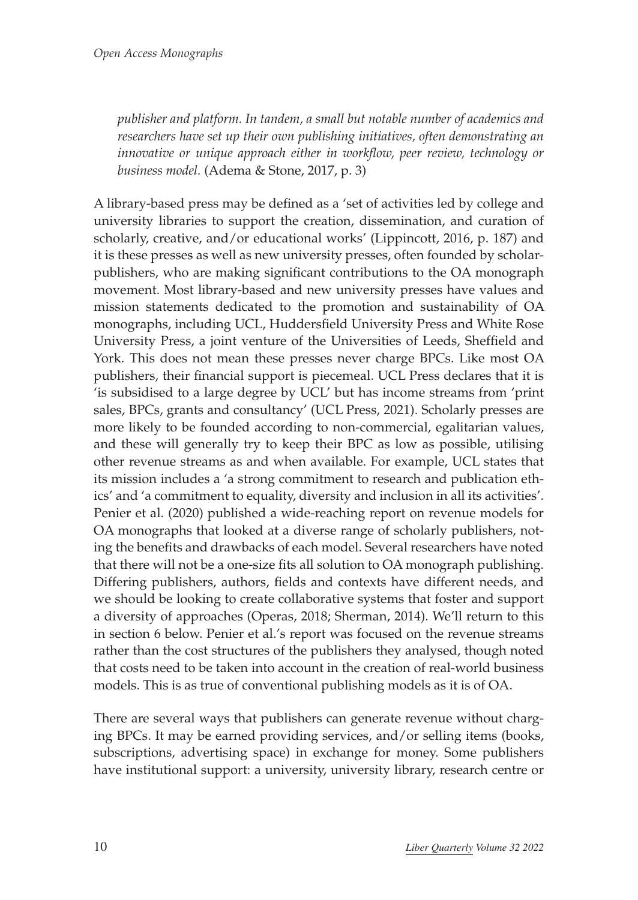*publisher and platform. In tandem, a small but notable number of academics and researchers have set up their own publishing initiatives, often demonstrating an innovative or unique approach either in workflow, peer review, technology or business model.* (Adema & Stone, 2017, p. 3)

A library-based press may be defined as a 'set of activities led by college and university libraries to support the creation, dissemination, and curation of scholarly, creative, and/or educational works' (Lippincott, 2016, p. 187) and it is these presses as well as new university presses, often founded by scholarpublishers, who are making significant contributions to the OA monograph movement. Most library-based and new university presses have values and mission statements dedicated to the promotion and sustainability of OA monographs, including UCL, Huddersfield University Press and White Rose University Press, a joint venture of the Universities of Leeds, Sheffield and York. This does not mean these presses never charge BPCs. Like most OA publishers, their financial support is piecemeal. UCL Press declares that it is 'is subsidised to a large degree by UCL' but has income streams from 'print sales, BPCs, grants and consultancy' (UCL Press, 2021). Scholarly presses are more likely to be founded according to non-commercial, egalitarian values, and these will generally try to keep their BPC as low as possible, utilising other revenue streams as and when available. For example, UCL states that its mission includes a 'a strong commitment to research and publication ethics' and 'a commitment to equality, diversity and inclusion in all its activities'. Penier et al. (2020) published a wide-reaching report on revenue models for OA monographs that looked at a diverse range of scholarly publishers, noting the benefits and drawbacks of each model. Several researchers have noted that there will not be a one-size fits all solution to OA monograph publishing. Differing publishers, authors, fields and contexts have different needs, and we should be looking to create collaborative systems that foster and support a diversity of approaches (Operas, 2018; Sherman, 2014). We'll return to this in section 6 below. Penier et al.'s report was focused on the revenue streams rather than the cost structures of the publishers they analysed, though noted that costs need to be taken into account in the creation of real-world business models. This is as true of conventional publishing models as it is of OA.

There are several ways that publishers can generate revenue without charging BPCs. It may be earned providing services, and/or selling items (books, subscriptions, advertising space) in exchange for money. Some publishers have institutional support: a university, university library, research centre or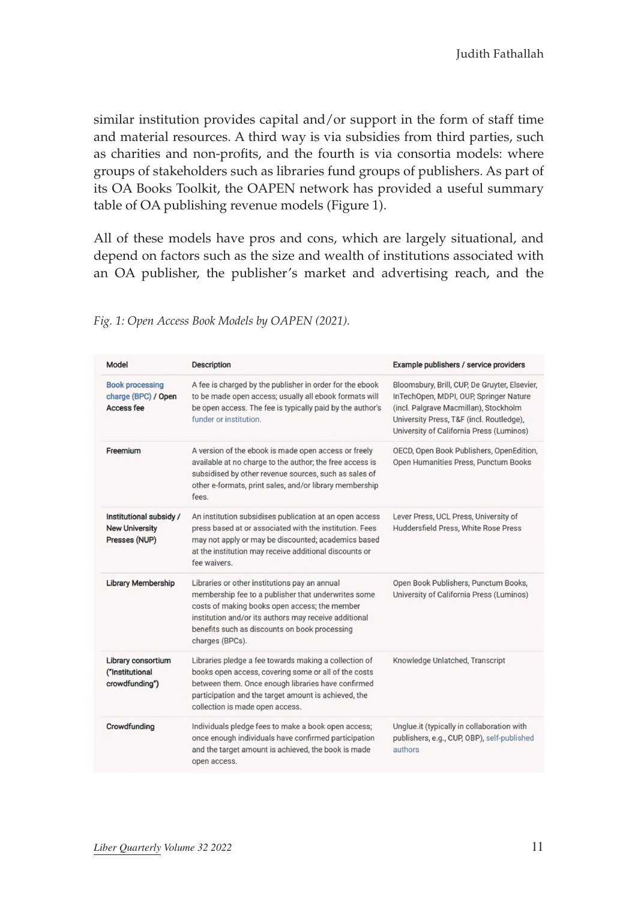similar institution provides capital and/or support in the form of staff time and material resources. A third way is via subsidies from third parties, such as charities and non-profits, and the fourth is via consortia models: where groups of stakeholders such as libraries fund groups of publishers. As part of its OA Books Toolkit, the OAPEN network has provided a useful summary table of OA publishing revenue models (Figure 1).

All of these models have pros and cons, which are largely situational, and depend on factors such as the size and wealth of institutions associated with an OA publisher, the publisher's market and advertising reach, and the

| Model                                                             | <b>Description</b>                                                                                                                                                                                                                                                                 | Example publishers / service providers                                                                                                                                                                                   |
|-------------------------------------------------------------------|------------------------------------------------------------------------------------------------------------------------------------------------------------------------------------------------------------------------------------------------------------------------------------|--------------------------------------------------------------------------------------------------------------------------------------------------------------------------------------------------------------------------|
| <b>Book processing</b><br>charge (BPC) / Open<br>Access fee       | A fee is charged by the publisher in order for the ebook<br>to be made open access; usually all ebook formats will<br>be open access. The fee is typically paid by the author's<br>funder or institution.                                                                          | Bloomsbury, Brill, CUP, De Gruyter, Elsevier,<br>InTechOpen, MDPI, OUP, Springer Nature<br>(incl. Palgrave Macmillan), Stockholm<br>University Press, T&F (incl. Routledge),<br>University of California Press (Luminos) |
| Freemium                                                          | A version of the ebook is made open access or freely<br>available at no charge to the author; the free access is<br>subsidised by other revenue sources, such as sales of<br>other e-formats, print sales, and/or library membership<br>fees.                                      | OECD, Open Book Publishers, OpenEdition,<br>Open Humanities Press, Punctum Books                                                                                                                                         |
| Institutional subsidy /<br><b>New University</b><br>Presses (NUP) | An institution subsidises publication at an open access<br>press based at or associated with the institution. Fees<br>may not apply or may be discounted; academics based<br>at the institution may receive additional discounts or<br>fee waivers.                                | Lever Press, UCL Press, University of<br>Huddersfield Press, White Rose Press                                                                                                                                            |
| <b>Library Membership</b>                                         | Libraries or other institutions pay an annual<br>membership fee to a publisher that underwrites some<br>costs of making books open access; the member<br>institution and/or its authors may receive additional<br>benefits such as discounts on book processing<br>charges (BPCs). | Open Book Publishers, Punctum Books,<br>University of California Press (Luminos)                                                                                                                                         |
| Library consortium<br>("Institutional<br>crowdfunding")           | Libraries pledge a fee towards making a collection of<br>books open access, covering some or all of the costs<br>between them. Once enough libraries have confirmed<br>participation and the target amount is achieved, the<br>collection is made open access.                     | Knowledge Unlatched, Transcript                                                                                                                                                                                          |
| Crowdfunding                                                      | Individuals pledge fees to make a book open access;<br>once enough individuals have confirmed participation<br>and the target amount is achieved, the book is made<br>open access.                                                                                                 | Unglue.it (typically in collaboration with<br>publishers, e.g., CUP, OBP), self-published<br>authors                                                                                                                     |

*Fig. 1: Open Access Book Models by OAPEN (2021).*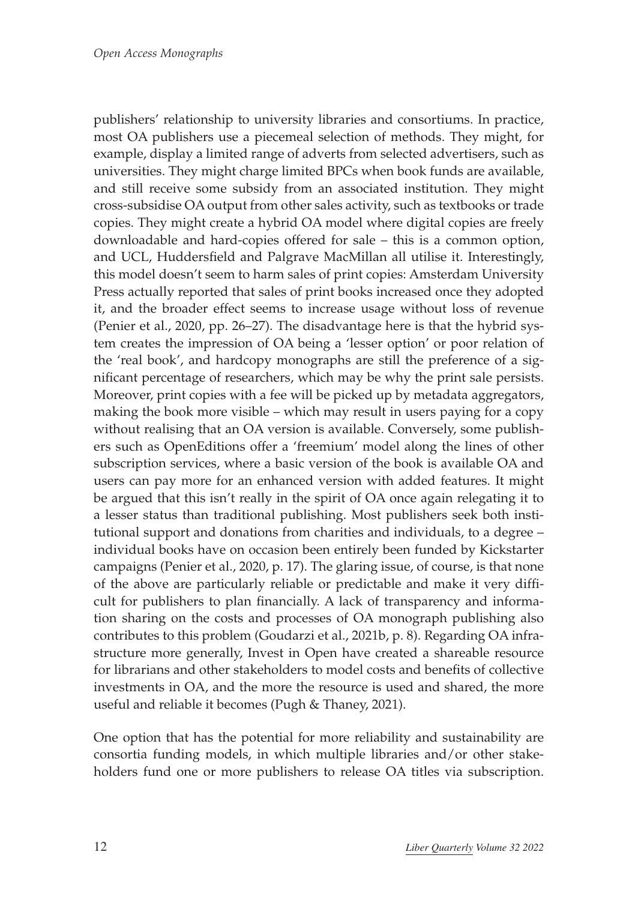publishers' relationship to university libraries and consortiums. In practice, most OA publishers use a piecemeal selection of methods. They might, for example, display a limited range of adverts from selected advertisers, such as universities. They might charge limited BPCs when book funds are available, and still receive some subsidy from an associated institution. They might cross-subsidise OA output from other sales activity, such as textbooks or trade copies. They might create a hybrid OA model where digital copies are freely downloadable and hard-copies offered for sale – this is a common option, and UCL, Huddersfield and Palgrave MacMillan all utilise it. Interestingly, this model doesn't seem to harm sales of print copies: Amsterdam University Press actually reported that sales of print books increased once they adopted it, and the broader effect seems to increase usage without loss of revenue (Penier et al., 2020, pp. 26–27). The disadvantage here is that the hybrid system creates the impression of OA being a 'lesser option' or poor relation of the 'real book', and hardcopy monographs are still the preference of a significant percentage of researchers, which may be why the print sale persists. Moreover, print copies with a fee will be picked up by metadata aggregators, making the book more visible – which may result in users paying for a copy without realising that an OA version is available. Conversely, some publishers such as OpenEditions offer a 'freemium' model along the lines of other subscription services, where a basic version of the book is available OA and users can pay more for an enhanced version with added features. It might be argued that this isn't really in the spirit of OA once again relegating it to a lesser status than traditional publishing. Most publishers seek both institutional support and donations from charities and individuals, to a degree – individual books have on occasion been entirely been funded by Kickstarter campaigns (Penier et al., 2020, p. 17). The glaring issue, of course, is that none of the above are particularly reliable or predictable and make it very difficult for publishers to plan financially. A lack of transparency and information sharing on the costs and processes of OA monograph publishing also contributes to this problem (Goudarzi et al., 2021b, p. 8). Regarding OA infrastructure more generally, Invest in Open have created a shareable resource for librarians and other stakeholders to model costs and benefits of collective investments in OA, and the more the resource is used and shared, the more useful and reliable it becomes (Pugh & Thaney, 2021).

One option that has the potential for more reliability and sustainability are consortia funding models, in which multiple libraries and/or other stakeholders fund one or more publishers to release OA titles via subscription.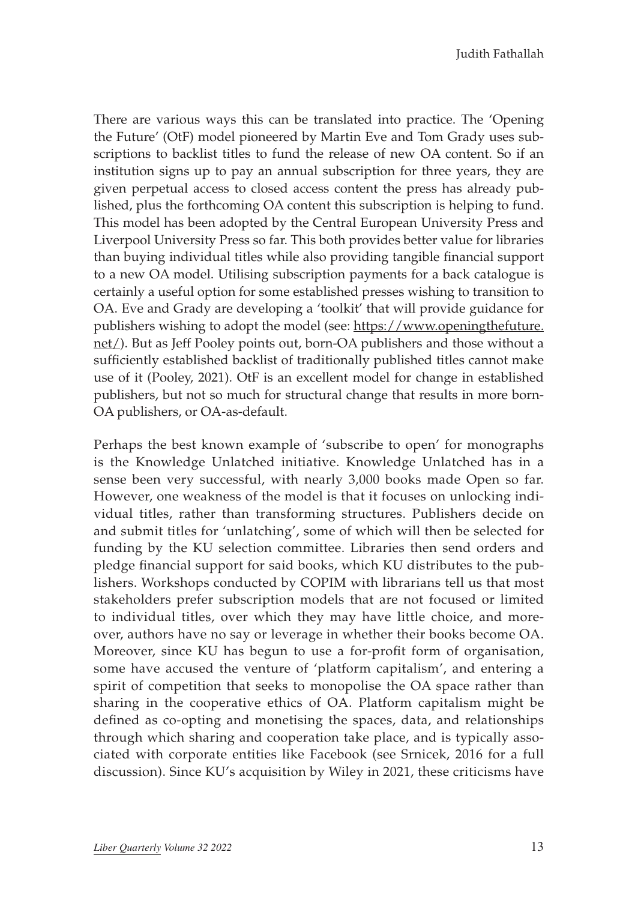There are various ways this can be translated into practice. The 'Opening the Future' (OtF) model pioneered by Martin Eve and Tom Grady uses subscriptions to backlist titles to fund the release of new OA content. So if an institution signs up to pay an annual subscription for three years, they are given perpetual access to closed access content the press has already published, plus the forthcoming OA content this subscription is helping to fund. This model has been adopted by the Central European University Press and Liverpool University Press so far. This both provides better value for libraries than buying individual titles while also providing tangible financial support to a new OA model. Utilising subscription payments for a back catalogue is certainly a useful option for some established presses wishing to transition to OA. Eve and Grady are developing a 'toolkit' that will provide guidance for publishers wishing to adopt the model (see: [https://www.openingthefuture.](https://www.openingthefuture.net/) [net/\)](https://www.openingthefuture.net/). But as Jeff Pooley points out, born-OA publishers and those without a sufficiently established backlist of traditionally published titles cannot make use of it (Pooley, 2021). OtF is an excellent model for change in established publishers, but not so much for structural change that results in more born-OA publishers, or OA-as-default.

Perhaps the best known example of 'subscribe to open' for monographs is the Knowledge Unlatched initiative. Knowledge Unlatched has in a sense been very successful, with nearly 3,000 books made Open so far. However, one weakness of the model is that it focuses on unlocking individual titles, rather than transforming structures. Publishers decide on and submit titles for 'unlatching', some of which will then be selected for funding by the KU selection committee. Libraries then send orders and pledge financial support for said books, which KU distributes to the publishers. Workshops conducted by COPIM with librarians tell us that most stakeholders prefer subscription models that are not focused or limited to individual titles, over which they may have little choice, and moreover, authors have no say or leverage in whether their books become OA. Moreover, since KU has begun to use a for-profit form of organisation, some have accused the venture of 'platform capitalism', and entering a spirit of competition that seeks to monopolise the OA space rather than sharing in the cooperative ethics of OA. Platform capitalism might be defined as co-opting and monetising the spaces, data, and relationships through which sharing and cooperation take place, and is typically associated with corporate entities like Facebook (see Srnicek, 2016 for a full discussion). Since KU's acquisition by Wiley in 2021, these criticisms have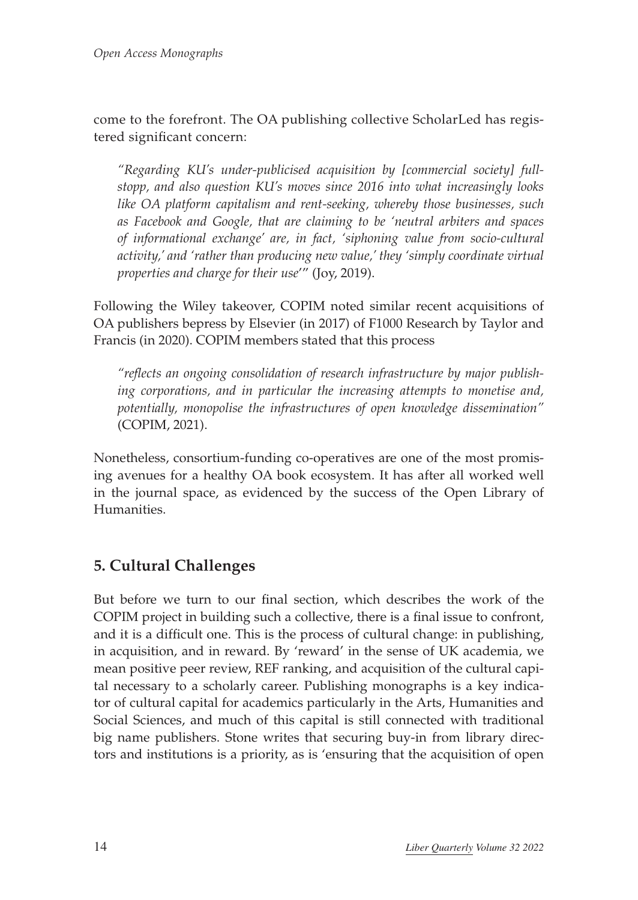come to the forefront. The OA publishing collective ScholarLed has registered significant concern:

*"Regarding KU's under-publicised acquisition by [commercial society] fullstopp, and also question KU's moves since 2016 into what increasingly looks like OA platform capitalism and rent-seeking, whereby those businesses, such as Facebook and Google, that are claiming to be 'neutral arbiters and spaces of informational exchange' are, in fact, 'siphoning value from socio-cultural activity,' and 'rather than producing new value,' they 'simply coordinate virtual properties and charge for their use*'" (Joy, 2019).

Following the Wiley takeover, COPIM noted similar recent acquisitions of OA publishers bepress by Elsevier (in 2017) of F1000 Research by Taylor and Francis (in 2020). COPIM members stated that this process

*"reflects an ongoing consolidation of research infrastructure by major publishing corporations, and in particular the increasing attempts to monetise and, potentially, monopolise the infrastructures of open knowledge dissemination"* (COPIM, 2021).

Nonetheless, consortium-funding co-operatives are one of the most promising avenues for a healthy OA book ecosystem. It has after all worked well in the journal space, as evidenced by the success of the Open Library of Humanities.

## **5. Cultural Challenges**

But before we turn to our final section, which describes the work of the COPIM project in building such a collective, there is a final issue to confront, and it is a difficult one. This is the process of cultural change: in publishing, in acquisition, and in reward. By 'reward' in the sense of UK academia, we mean positive peer review, REF ranking, and acquisition of the cultural capital necessary to a scholarly career. Publishing monographs is a key indicator of cultural capital for academics particularly in the Arts, Humanities and Social Sciences, and much of this capital is still connected with traditional big name publishers. Stone writes that securing buy-in from library directors and institutions is a priority, as is 'ensuring that the acquisition of open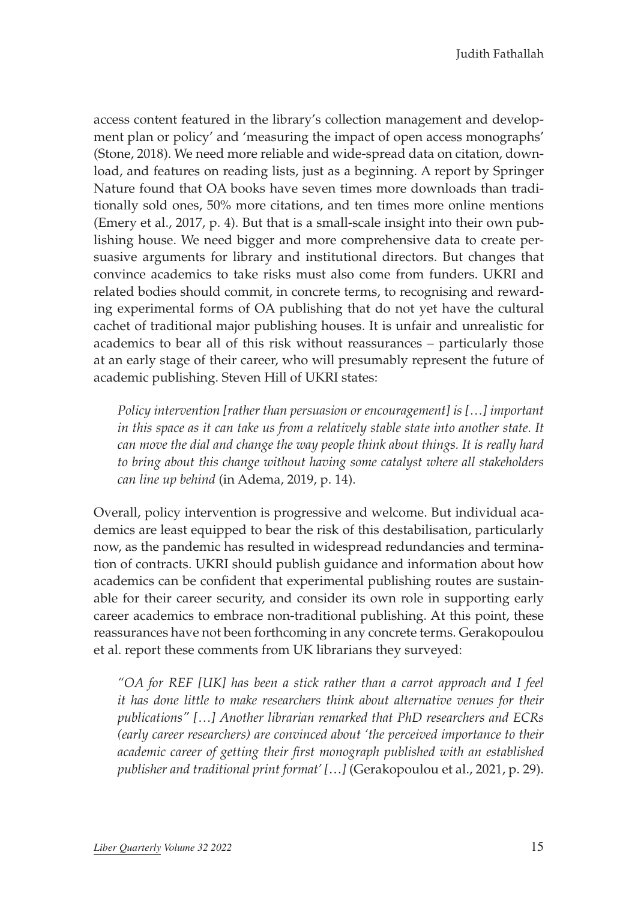access content featured in the library's collection management and development plan or policy' and 'measuring the impact of open access monographs' (Stone, 2018). We need more reliable and wide-spread data on citation, download, and features on reading lists, just as a beginning. A report by Springer Nature found that OA books have seven times more downloads than traditionally sold ones, 50% more citations, and ten times more online mentions (Emery et al., 2017, p. 4). But that is a small-scale insight into their own publishing house. We need bigger and more comprehensive data to create persuasive arguments for library and institutional directors. But changes that convince academics to take risks must also come from funders. UKRI and related bodies should commit, in concrete terms, to recognising and rewarding experimental forms of OA publishing that do not yet have the cultural cachet of traditional major publishing houses. It is unfair and unrealistic for academics to bear all of this risk without reassurances – particularly those at an early stage of their career, who will presumably represent the future of academic publishing. Steven Hill of UKRI states:

*Policy intervention [rather than persuasion or encouragement] is [*…*] important in this space as it can take us from a relatively stable state into another state. It can move the dial and change the way people think about things. It is really hard to bring about this change without having some catalyst where all stakeholders can line up behind* (in Adema, 2019, p. 14).

Overall, policy intervention is progressive and welcome. But individual academics are least equipped to bear the risk of this destabilisation, particularly now, as the pandemic has resulted in widespread redundancies and termination of contracts. UKRI should publish guidance and information about how academics can be confident that experimental publishing routes are sustainable for their career security, and consider its own role in supporting early career academics to embrace non-traditional publishing. At this point, these reassurances have not been forthcoming in any concrete terms. Gerakopoulou et al. report these comments from UK librarians they surveyed:

*"OA for REF [UK] has been a stick rather than a carrot approach and I feel it has done little to make researchers think about alternative venues for their publications" [*…*] Another librarian remarked that PhD researchers and ECRs (early career researchers) are convinced about 'the perceived importance to their academic career of getting their first monograph published with an established publisher and traditional print format' [*…*]* (Gerakopoulou et al., 2021, p. 29).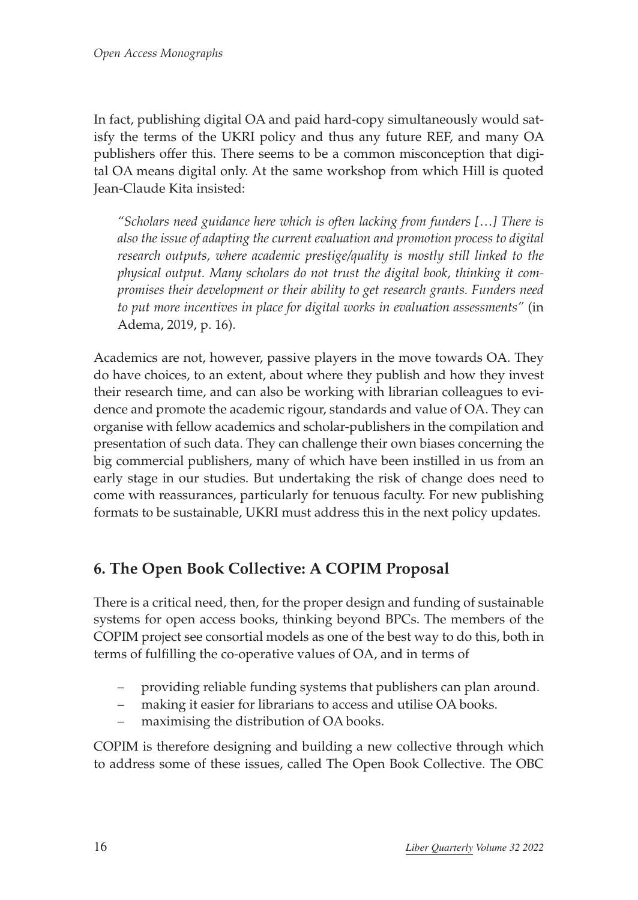In fact, publishing digital OA and paid hard-copy simultaneously would satisfy the terms of the UKRI policy and thus any future REF, and many OA publishers offer this. There seems to be a common misconception that digital OA means digital only. At the same workshop from which Hill is quoted Jean-Claude Kita insisted:

*"Scholars need guidance here which is often lacking from funders [*…*] There is also the issue of adapting the current evaluation and promotion process to digital research outputs, where academic prestige/quality is mostly still linked to the physical output. Many scholars do not trust the digital book, thinking it compromises their development or their ability to get research grants. Funders need to put more incentives in place for digital works in evaluation assessments"* (in Adema, 2019, p. 16).

Academics are not, however, passive players in the move towards OA. They do have choices, to an extent, about where they publish and how they invest their research time, and can also be working with librarian colleagues to evidence and promote the academic rigour, standards and value of OA. They can organise with fellow academics and scholar-publishers in the compilation and presentation of such data. They can challenge their own biases concerning the big commercial publishers, many of which have been instilled in us from an early stage in our studies. But undertaking the risk of change does need to come with reassurances, particularly for tenuous faculty. For new publishing formats to be sustainable, UKRI must address this in the next policy updates.

## **6. The Open Book Collective: A COPIM Proposal**

There is a critical need, then, for the proper design and funding of sustainable systems for open access books, thinking beyond BPCs. The members of the COPIM project see consortial models as one of the best way to do this, both in terms of fulfilling the co-operative values of OA, and in terms of

- providing reliable funding systems that publishers can plan around.
- making it easier for librarians to access and utilise OA books.
- maximising the distribution of OA books.

COPIM is therefore designing and building a new collective through which to address some of these issues, called The Open Book Collective. The OBC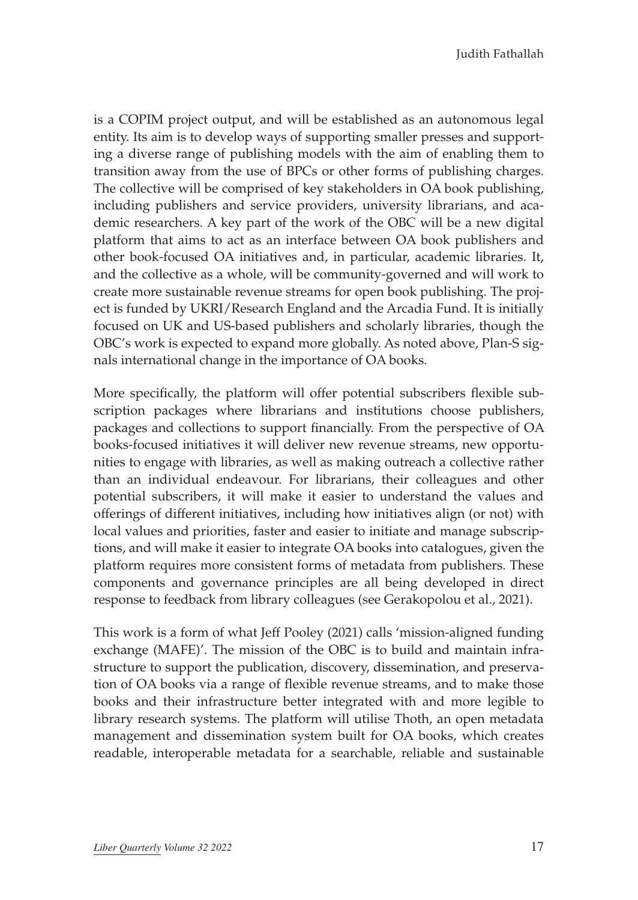is a COPIM project output, and will be established as an autonomous legal entity. Its aim is to develop ways of supporting smaller presses and supporting a diverse range of publishing models with the aim of enabling them to transition away from the use of BPCs or other forms of publishing charges. The collective will be comprised of key stakeholders in OA book publishing, including publishers and service providers, university librarians, and academic researchers. A key part of the work of the OBC will be a new digital platform that aims to act as an interface between OA book publishers and other book-focused OA initiatives and, in particular, academic libraries. It, and the collective as a whole, will be community-governed and will work to create more sustainable revenue streams for open book publishing. The project is funded by UKRI/Research England and the Arcadia Fund. It is initially focused on UK and US-based publishers and scholarly libraries, though the OBC's work is expected to expand more globally. As noted above, Plan-S signals international change in the importance of OA books.

More specifically, the platform will offer potential subscribers flexible subscription packages where librarians and institutions choose publishers, packages and collections to support financially. From the perspective of OA books-focused initiatives it will deliver new revenue streams, new opportunities to engage with libraries, as well as making outreach a collective rather than an individual endeavour. For librarians, their colleagues and other potential subscribers, it will make it easier to understand the values and offerings of different initiatives, including how initiatives align (or not) with local values and priorities, faster and easier to initiate and manage subscriptions, and will make it easier to integrate OA books into catalogues, given the platform requires more consistent forms of metadata from publishers. These components and governance principles are all being developed in direct response to feedback from library colleagues (see Gerakopolou et al., 2021).

This work is a form of what Jeff Pooley (2021) calls 'mission-aligned funding exchange (MAFE)'. The mission of the OBC is to build and maintain infrastructure to support the publication, discovery, dissemination, and preservation of OA books via a range of flexible revenue streams, and to make those books and their infrastructure better integrated with and more legible to library research systems. The platform will utilise Thoth, an open metadata management and dissemination system built for OA books, which creates readable, interoperable metadata for a searchable, reliable and sustainable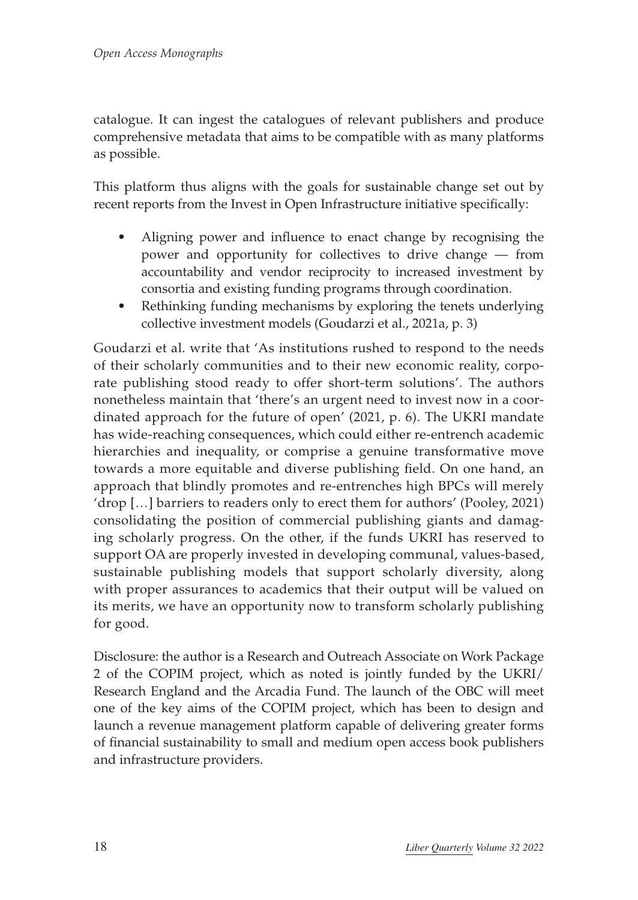catalogue. It can ingest the catalogues of relevant publishers and produce comprehensive metadata that aims to be compatible with as many platforms as possible.

This platform thus aligns with the goals for sustainable change set out by recent reports from the Invest in Open Infrastructure initiative specifically:

- Aligning power and influence to enact change by recognising the power and opportunity for collectives to drive change — from accountability and vendor reciprocity to increased investment by consortia and existing funding programs through coordination.
- Rethinking funding mechanisms by exploring the tenets underlying collective investment models (Goudarzi et al., 2021a, p. 3)

Goudarzi et al. write that 'As institutions rushed to respond to the needs of their scholarly communities and to their new economic reality, corporate publishing stood ready to offer short-term solutions'. The authors nonetheless maintain that 'there's an urgent need to invest now in a coordinated approach for the future of open' (2021, p. 6). The UKRI mandate has wide-reaching consequences, which could either re-entrench academic hierarchies and inequality, or comprise a genuine transformative move towards a more equitable and diverse publishing field. On one hand, an approach that blindly promotes and re-entrenches high BPCs will merely 'drop […] barriers to readers only to erect them for authors' (Pooley, 2021) consolidating the position of commercial publishing giants and damaging scholarly progress. On the other, if the funds UKRI has reserved to support OA are properly invested in developing communal, values-based, sustainable publishing models that support scholarly diversity, along with proper assurances to academics that their output will be valued on its merits, we have an opportunity now to transform scholarly publishing for good.

Disclosure: the author is a Research and Outreach Associate on Work Package 2 of the COPIM project, which as noted is jointly funded by the UKRI/ Research England and the Arcadia Fund. The launch of the OBC will meet one of the key aims of the COPIM project, which has been to design and launch a revenue management platform capable of delivering greater forms of financial sustainability to small and medium open access book publishers and infrastructure providers.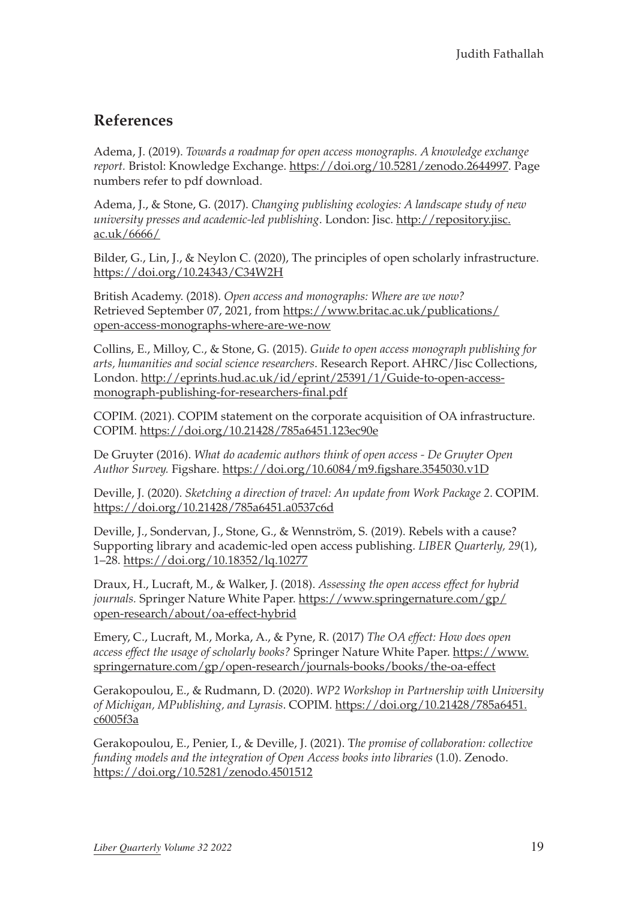#### **References**

Adema, J. (2019). *Towards a roadmap for open access monographs. A knowledge exchange report.* Bristol: Knowledge Exchange. <https://doi.org/10.5281/zenodo.2644997>. Page numbers refer to pdf download.

Adema, J., & Stone, G. (2017). *Changing publishing ecologies: A landscape study of new university presses and academic-led publishing*. London: Jisc. [http://repository.jisc.](http://repository.jisc.ac.uk/6666/) [ac.uk/6666/](http://repository.jisc.ac.uk/6666/)

Bilder, G., Lin, J., & Neylon C. (2020), The principles of open scholarly infrastructure. <https://doi.org/10.24343/C34W2H>

British Academy. (2018). *Open access and monographs: Where are we now?* Retrieved September 07, 2021, from [https://www.britac.ac.uk/publications/](https://www.britac.ac.uk/publications/open-access-monographs-where-are-we-now) [open-access-monographs-where-are-we-now](https://www.britac.ac.uk/publications/open-access-monographs-where-are-we-now)

Collins, E., Milloy, C., & Stone, G. (2015). *Guide to open access monograph publishing for arts, humanities and social science researchers*. Research Report. AHRC/Jisc Collections, London. [http://eprints.hud.ac.uk/id/eprint/25391/1/Guide-to-open-access](http://eprints.hud.ac.uk/id/eprint/25391/1/Guide-to-open-access-monograph-publishing-for-researchers-final.pdf)[monograph-publishing-for-researchers-final.pdf](http://eprints.hud.ac.uk/id/eprint/25391/1/Guide-to-open-access-monograph-publishing-for-researchers-final.pdf)

COPIM. (2021). COPIM statement on the corporate acquisition of OA infrastructure. COPIM. <https://doi.org/10.21428/785a6451.123ec90e>

De Gruyter (2016). *What do academic authors think of open access - De Gruyter Open Author Survey.* Figshare.<https://doi.org/10.6084/m9.figshare.3545030.v1D>

Deville, J. (2020). *Sketching a direction of travel: An update from Work Package 2*. COPIM. <https://doi.org/10.21428/785a6451.a0537c6d>

Deville, J., Sondervan, J., Stone, G., & Wennström, S. (2019). Rebels with a cause? Supporting library and academic-led open access publishing. *LIBER Quarterly, 29*(1), 1–28.<https://doi.org/10.18352/lq.10277>

Draux, H., Lucraft, M., & Walker, J. (2018). *Assessing the open access effect for hybrid journals.* Springer Nature White Paper. [https://www.springernature.com/gp/](https://www.springernature.com/gp/open-research/about/oa-effect-hybrid) [open-research/about/oa-effect-hybrid](https://www.springernature.com/gp/open-research/about/oa-effect-hybrid)

Emery, C., Lucraft, M., Morka, A., & Pyne, R. (2017) *The OA effect: How does open access effect the usage of scholarly books?* Springer Nature White Paper. [https://www.](https://www.springernature.com/gp/open-research/journals-books/books/the-oa-effect) [springernature.com/gp/open-research/journals-books/books/the-oa-effect](https://www.springernature.com/gp/open-research/journals-books/books/the-oa-effect)

Gerakopoulou, E., & Rudmann, D. (2020). *WP2 Workshop in Partnership with University of Michigan, MPublishing, and Lyrasis*. COPIM. [https://doi.org/10.21428/785a6451.](https://doi.org/10.21428/785a6451.c6005f3a) [c6005f3a](https://doi.org/10.21428/785a6451.c6005f3a)

Gerakopoulou, E., Penier, I., & Deville, J. (2021). T*he promise of collaboration: collective funding models and the integration of Open Access books into libraries* (1.0). Zenodo. <https://doi.org/10.5281/zenodo.4501512>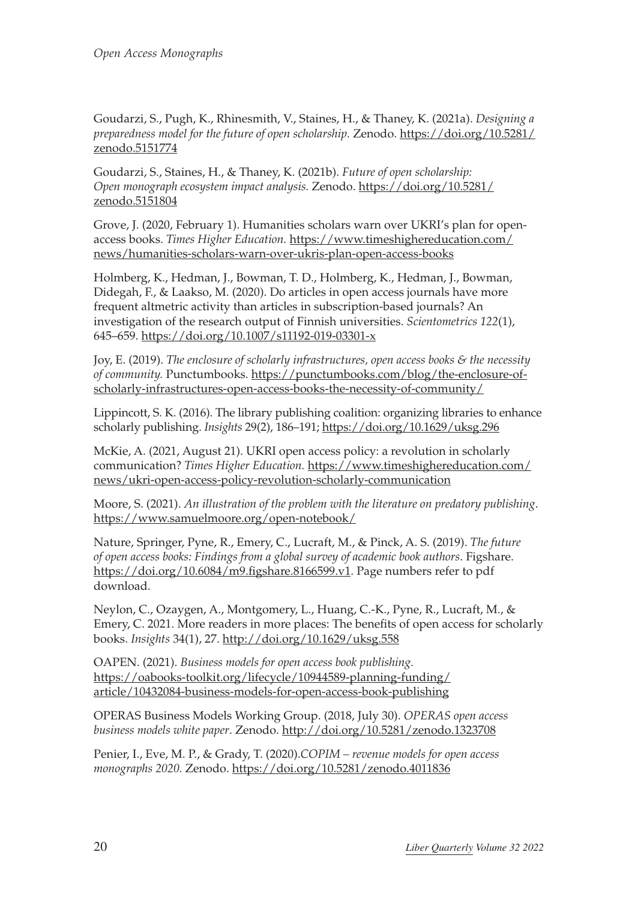Goudarzi, S., Pugh, K., Rhinesmith, V., Staines, H., & Thaney, K. (2021a). *Designing a preparedness model for the future of open scholarship.* Zenodo. [https://doi.org/10.5281/](https://doi.org/10.5281/zenodo.5151774) [zenodo.5151774](https://doi.org/10.5281/zenodo.5151774)

Goudarzi, S., Staines, H., & Thaney, K. (2021b). *Future of open scholarship: Open monograph ecosystem impact analysis.* Zenodo. [https://doi.org/10.5281/](https://doi.org/10.5281/zenodo.5151804) [zenodo.5151804](https://doi.org/10.5281/zenodo.5151804)

Grove, J. (2020, February 1). Humanities scholars warn over UKRI's plan for openaccess books. *Times Higher Education.* [https://www.timeshighereducation.com/](https://www.timeshighereducation.com/news/humanities-scholars-warn-over-ukris-plan-open-access-books) [news/humanities-scholars-warn-over-ukris-plan-open-access-books](https://www.timeshighereducation.com/news/humanities-scholars-warn-over-ukris-plan-open-access-books)

Holmberg, K., Hedman, J., Bowman, T. D., Holmberg, K., Hedman, J., Bowman, Didegah, F., & Laakso, M. (2020). Do articles in open access journals have more frequent altmetric activity than articles in subscription-based journals? An investigation of the research output of Finnish universities. *Scientometrics 122*(1), 645–659. <https://doi.org/10.1007/s11192-019-03301-x>

Joy, E. (2019). *The enclosure of scholarly infrastructures, open access books & the necessity of community.* Punctumbooks. [https://punctumbooks.com/blog/the-enclosure-of](https://punctumbooks.com/blog/the-enclosure-of-scholarly-infrastructures-open-access-books-the-necessity-of-community/)[scholarly-infrastructures-open-access-books-the-necessity-of-community/](https://punctumbooks.com/blog/the-enclosure-of-scholarly-infrastructures-open-access-books-the-necessity-of-community/)

Lippincott, S. K. (2016). The library publishing coalition: organizing libraries to enhance scholarly publishing. *Insights* 29(2), 186–191; <https://doi.org/10.1629/uksg.296>

McKie, A. (2021, August 21). UKRI open access policy: a revolution in scholarly communication? *Times Higher Education.* [https://www.timeshighereducation.com/](https://www.timeshighereducation.com/news/ukri-open-access-policy-revolution-scholarly-communication) [news/ukri-open-access-policy-revolution-scholarly-communication](https://www.timeshighereducation.com/news/ukri-open-access-policy-revolution-scholarly-communication)

Moore, S. (2021). *An illustration of the problem with the literature on predatory publishing*. <https://www.samuelmoore.org/open-notebook/>

Nature, Springer, Pyne, R., Emery, C., Lucraft, M., & Pinck, A. S. (2019). *The future of open access books: Findings from a global survey of academic book authors*. Figshare. <https://doi.org/10.6084/m9.figshare.8166599.v1>. Page numbers refer to pdf download.

Neylon, C., Ozaygen, A., Montgomery, L., Huang, C.-K., Pyne, R., Lucraft, M., & Emery, C. 2021. More readers in more places: The benefits of open access for scholarly books. *Insights* 34(1), 27.<http://doi.org/10.1629/uksg.558>

OAPEN. (2021). *Business models for open access book publishing.* [https://oabooks-toolkit.org/lifecycle/10944589-planning-funding/](https://oabooks-toolkit.org/lifecycle/10944589-planning-funding/article/10432084-business-models-for-open-access-book-publishing) [article/10432084-business-models-for-open-access-book-publishing](https://oabooks-toolkit.org/lifecycle/10944589-planning-funding/article/10432084-business-models-for-open-access-book-publishing)

OPERAS Business Models Working Group. (2018, July 30). *OPERAS open access business models white paper*. Zenodo.<http://doi.org/10.5281/zenodo.1323708>

Penier, I., Eve, M. P., & Grady, T. (2020).*COPIM – revenue models for open access monographs 2020.* Zenodo.<https://doi.org/10.5281/zenodo.4011836>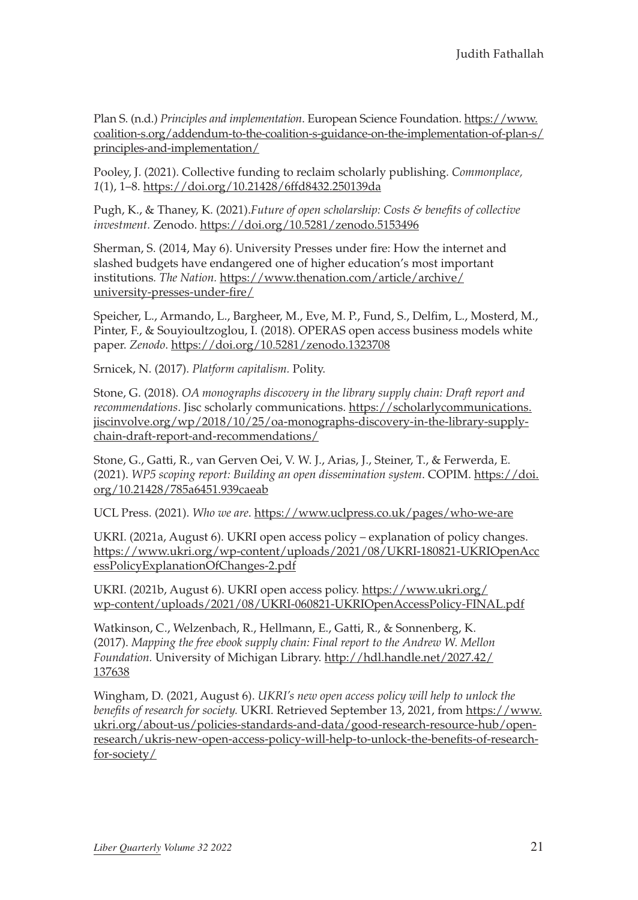Plan S. (n.d.) *Principles and implementation*. European Science Foundation. [https://www.](https://www.coalition-s.org/addendum-to-the-coalition-s-guidance-on-the-implementation-of-plan-s/principles-and-implementation/) [coalition-s.org/addendum-to-the-coalition-s-guidance-on-the-implementation-of-plan-s/](https://www.coalition-s.org/addendum-to-the-coalition-s-guidance-on-the-implementation-of-plan-s/principles-and-implementation/) [principles-and-implementation/](https://www.coalition-s.org/addendum-to-the-coalition-s-guidance-on-the-implementation-of-plan-s/principles-and-implementation/)

Pooley, J. (2021). Collective funding to reclaim scholarly publishing. *Commonplace, 1*(1), 1–8.<https://doi.org/10.21428/6ffd8432.250139da>

Pugh, K., & Thaney, K. (2021).*Future of open scholarship: Costs & benefits of collective investment.* Zenodo.<https://doi.org/10.5281/zenodo.5153496>

Sherman, S. (2014, May 6). University Presses under fire: How the internet and slashed budgets have endangered one of higher education's most important institutions*. The Nation.* [https://www.thenation.com/article/archive/](https://www.thenation.com/article/archive/university-presses-under-fire/) [university-presses-under-fire/](https://www.thenation.com/article/archive/university-presses-under-fire/)

Speicher, L., Armando, L., Bargheer, M., Eve, M. P., Fund, S., Delfim, L., Mosterd, M., Pinter, F., & Souyioultzoglou, I. (2018). OPERAS open access business models white paper. *Zenodo*.<https://doi.org/10.5281/zenodo.1323708>

Srnicek, N. (2017). *Platform capitalism.* Polity.

Stone, G. (2018). *OA monographs discovery in the library supply chain: Draft report and recommendations*. Jisc scholarly communications. [https://scholarlycommunications.](https://scholarlycommunications.jiscinvolve.org/wp/2018/10/25/oa-monographs-discovery-in-the-library-supply-chain-draft-report-and-recommendations/) [jiscinvolve.org/wp/2018/10/25/oa-monographs-discovery-in-the-library-supply](https://scholarlycommunications.jiscinvolve.org/wp/2018/10/25/oa-monographs-discovery-in-the-library-supply-chain-draft-report-and-recommendations/)[chain-draft-report-and-recommendations/](https://scholarlycommunications.jiscinvolve.org/wp/2018/10/25/oa-monographs-discovery-in-the-library-supply-chain-draft-report-and-recommendations/)

Stone, G., Gatti, R., van Gerven Oei, V. W. J., Arias, J., Steiner, T., & Ferwerda, E. (2021). *WP5 scoping report: Building an open dissemination system*. COPIM. [https://doi.](https://doi.org/10.21428/785a6451.939caeab) [org/10.21428/785a6451.939caeab](https://doi.org/10.21428/785a6451.939caeab)

UCL Press. (2021). *Who we are*.<https://www.uclpress.co.uk/pages/who-we-are>

UKRI. (2021a, August 6). UKRI open access policy – explanation of policy changes. [https://www.ukri.org/wp-content/uploads/2021/08/UKRI-180821-UKRIOpenAcc](https://www.ukri.org/wp-content/uploads/2021/08/UKRI-180821-UKRIOpenAccessPolicyExplanationOfChanges-2.pdf) [essPolicyExplanationOfChanges-2.pdf](https://www.ukri.org/wp-content/uploads/2021/08/UKRI-180821-UKRIOpenAccessPolicyExplanationOfChanges-2.pdf)

UKRI. (2021b, August 6). UKRI open access policy. [https://www.ukri.org/](https://www.ukri.org/wp-content/uploads/2021/08/UKRI-060821-UKRIOpenAccessPolicy-FINAL.pdf) [wp-content/uploads/2021/08/UKRI-060821-UKRIOpenAccessPolicy-FINAL.pdf](https://www.ukri.org/wp-content/uploads/2021/08/UKRI-060821-UKRIOpenAccessPolicy-FINAL.pdf)

Watkinson, C., Welzenbach, R., Hellmann, E., Gatti, R., & Sonnenberg, K. (2017). *Mapping the free ebook supply chain: Final report to the Andrew W. Mellon Foundation.* University of Michigan Library. [http://hdl.handle.net/2027.42/](http://hdl.handle.net/2027.42/137638) [137638](http://hdl.handle.net/2027.42/137638)

Wingham, D. (2021, August 6). *UKRI's new open access policy will help to unlock the benefits of research for society.* UKRI. Retrieved September 13, 2021, from [https://www.](https://www.ukri.org/about-us/policies-standards-and-data/good-research-resource-hub/open-research/ukris-new-open-access-policy-will-help-to-unlock-the-benefits-of-research-for-society/) [ukri.org/about-us/policies-standards-and-data/good-research-resource-hub/open](https://www.ukri.org/about-us/policies-standards-and-data/good-research-resource-hub/open-research/ukris-new-open-access-policy-will-help-to-unlock-the-benefits-of-research-for-society/)[research/ukris-new-open-access-policy-will-help-to-unlock-the-benefits-of-research](https://www.ukri.org/about-us/policies-standards-and-data/good-research-resource-hub/open-research/ukris-new-open-access-policy-will-help-to-unlock-the-benefits-of-research-for-society/)[for-society/](https://www.ukri.org/about-us/policies-standards-and-data/good-research-resource-hub/open-research/ukris-new-open-access-policy-will-help-to-unlock-the-benefits-of-research-for-society/)